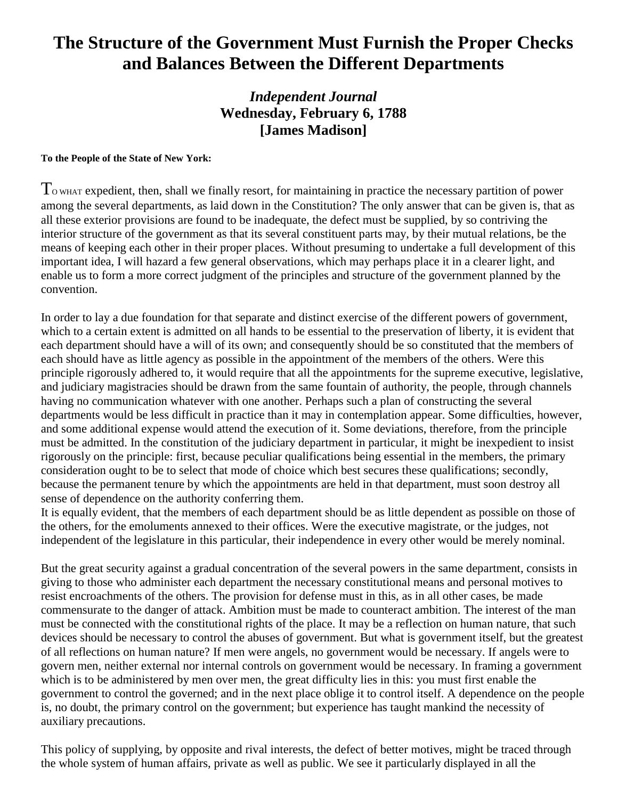## **The Structure of the Government Must Furnish the Proper Checks and Balances Between the Different Departments**

## *Independent Journal* **Wednesday, February 6, 1788 [James Madison]**

## **To the People of the State of New York:**

 $T<sub>o</sub>$  what expedient, then, shall we finally resort, for maintaining in practice the necessary partition of power among the several departments, as laid down in the Constitution? The only answer that can be given is, that as all these exterior provisions are found to be inadequate, the defect must be supplied, by so contriving the interior structure of the government as that its several constituent parts may, by their mutual relations, be the means of keeping each other in their proper places. Without presuming to undertake a full development of this important idea, I will hazard a few general observations, which may perhaps place it in a clearer light, and enable us to form a more correct judgment of the principles and structure of the government planned by the convention.

In order to lay a due foundation for that separate and distinct exercise of the different powers of government, which to a certain extent is admitted on all hands to be essential to the preservation of liberty, it is evident that each department should have a will of its own; and consequently should be so constituted that the members of each should have as little agency as possible in the appointment of the members of the others. Were this principle rigorously adhered to, it would require that all the appointments for the supreme executive, legislative, and judiciary magistracies should be drawn from the same fountain of authority, the people, through channels having no communication whatever with one another. Perhaps such a plan of constructing the several departments would be less difficult in practice than it may in contemplation appear. Some difficulties, however, and some additional expense would attend the execution of it. Some deviations, therefore, from the principle must be admitted. In the constitution of the judiciary department in particular, it might be inexpedient to insist rigorously on the principle: first, because peculiar qualifications being essential in the members, the primary consideration ought to be to select that mode of choice which best secures these qualifications; secondly, because the permanent tenure by which the appointments are held in that department, must soon destroy all sense of dependence on the authority conferring them.

It is equally evident, that the members of each department should be as little dependent as possible on those of the others, for the emoluments annexed to their offices. Were the executive magistrate, or the judges, not independent of the legislature in this particular, their independence in every other would be merely nominal.

But the great security against a gradual concentration of the several powers in the same department, consists in giving to those who administer each department the necessary constitutional means and personal motives to resist encroachments of the others. The provision for defense must in this, as in all other cases, be made commensurate to the danger of attack. Ambition must be made to counteract ambition. The interest of the man must be connected with the constitutional rights of the place. It may be a reflection on human nature, that such devices should be necessary to control the abuses of government. But what is government itself, but the greatest of all reflections on human nature? If men were angels, no government would be necessary. If angels were to govern men, neither external nor internal controls on government would be necessary. In framing a government which is to be administered by men over men, the great difficulty lies in this: you must first enable the government to control the governed; and in the next place oblige it to control itself. A dependence on the people is, no doubt, the primary control on the government; but experience has taught mankind the necessity of auxiliary precautions.

This policy of supplying, by opposite and rival interests, the defect of better motives, might be traced through the whole system of human affairs, private as well as public. We see it particularly displayed in all the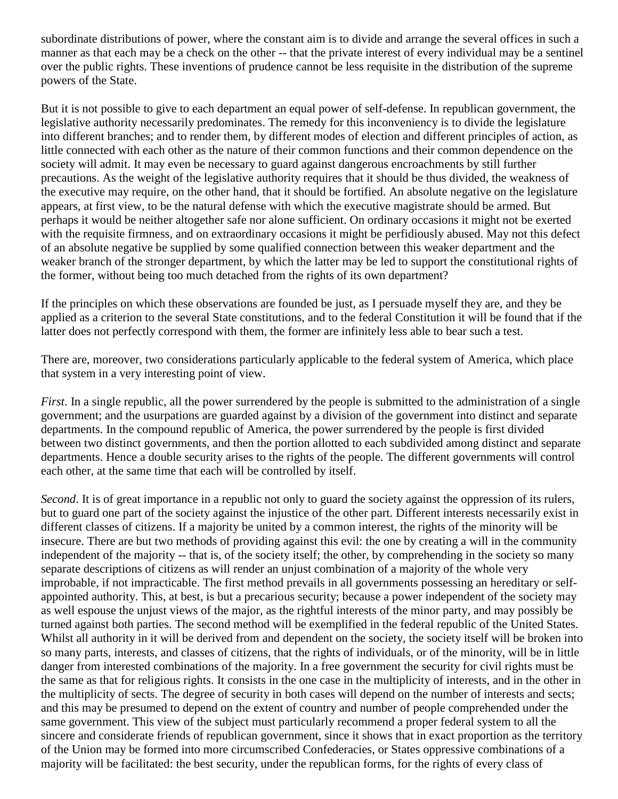subordinate distributions of power, where the constant aim is to divide and arrange the several offices in such a manner as that each may be a check on the other -- that the private interest of every individual may be a sentinel over the public rights. These inventions of prudence cannot be less requisite in the distribution of the supreme powers of the State.

But it is not possible to give to each department an equal power of self-defense. In republican government, the legislative authority necessarily predominates. The remedy for this inconveniency is to divide the legislature into different branches; and to render them, by different modes of election and different principles of action, as little connected with each other as the nature of their common functions and their common dependence on the society will admit. It may even be necessary to guard against dangerous encroachments by still further precautions. As the weight of the legislative authority requires that it should be thus divided, the weakness of the executive may require, on the other hand, that it should be fortified. An absolute negative on the legislature appears, at first view, to be the natural defense with which the executive magistrate should be armed. But perhaps it would be neither altogether safe nor alone sufficient. On ordinary occasions it might not be exerted with the requisite firmness, and on extraordinary occasions it might be perfidiously abused. May not this defect of an absolute negative be supplied by some qualified connection between this weaker department and the weaker branch of the stronger department, by which the latter may be led to support the constitutional rights of the former, without being too much detached from the rights of its own department?

If the principles on which these observations are founded be just, as I persuade myself they are, and they be applied as a criterion to the several State constitutions, and to the federal Constitution it will be found that if the latter does not perfectly correspond with them, the former are infinitely less able to bear such a test.

There are, moreover, two considerations particularly applicable to the federal system of America, which place that system in a very interesting point of view.

*First*. In a single republic, all the power surrendered by the people is submitted to the administration of a single government; and the usurpations are guarded against by a division of the government into distinct and separate departments. In the compound republic of America, the power surrendered by the people is first divided between two distinct governments, and then the portion allotted to each subdivided among distinct and separate departments. Hence a double security arises to the rights of the people. The different governments will control each other, at the same time that each will be controlled by itself.

*Second*. It is of great importance in a republic not only to guard the society against the oppression of its rulers, but to guard one part of the society against the injustice of the other part. Different interests necessarily exist in different classes of citizens. If a majority be united by a common interest, the rights of the minority will be insecure. There are but two methods of providing against this evil: the one by creating a will in the community independent of the majority -- that is, of the society itself; the other, by comprehending in the society so many separate descriptions of citizens as will render an unjust combination of a majority of the whole very improbable, if not impracticable. The first method prevails in all governments possessing an hereditary or selfappointed authority. This, at best, is but a precarious security; because a power independent of the society may as well espouse the unjust views of the major, as the rightful interests of the minor party, and may possibly be turned against both parties. The second method will be exemplified in the federal republic of the United States. Whilst all authority in it will be derived from and dependent on the society, the society itself will be broken into so many parts, interests, and classes of citizens, that the rights of individuals, or of the minority, will be in little danger from interested combinations of the majority. In a free government the security for civil rights must be the same as that for religious rights. It consists in the one case in the multiplicity of interests, and in the other in the multiplicity of sects. The degree of security in both cases will depend on the number of interests and sects; and this may be presumed to depend on the extent of country and number of people comprehended under the same government. This view of the subject must particularly recommend a proper federal system to all the sincere and considerate friends of republican government, since it shows that in exact proportion as the territory of the Union may be formed into more circumscribed Confederacies, or States oppressive combinations of a majority will be facilitated: the best security, under the republican forms, for the rights of every class of